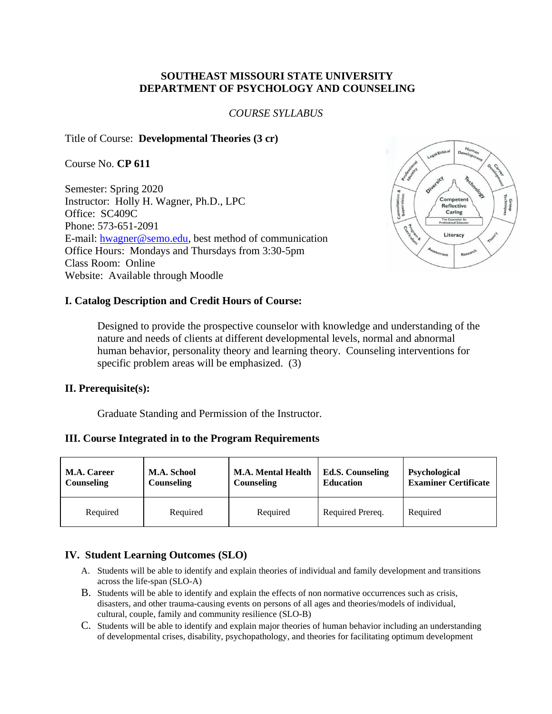### **SOUTHEAST MISSOURI STATE UNIVERSITY DEPARTMENT OF PSYCHOLOGY AND COUNSELING**

#### *COURSE SYLLABUS*

#### Title of Course: **Developmental Theories (3 cr)**

Course No. **CP 611**

Semester: Spring 2020 Instructor: Holly H. Wagner, Ph.D., LPC Office: SC409C Phone: 573-651-2091 E-mail: [hwagner@semo.edu,](mailto:hwagner@semo.edu) best method of communication Office Hours: Mondays and Thursdays from 3:30-5pm Class Room: Online Website: Available through Moodle



#### **I. Catalog Description and Credit Hours of Course:**

Designed to provide the prospective counselor with knowledge and understanding of the nature and needs of clients at different developmental levels, normal and abnormal human behavior, personality theory and learning theory. Counseling interventions for specific problem areas will be emphasized. (3)

#### **II. Prerequisite(s):**

Graduate Standing and Permission of the Instructor.

#### **III. Course Integrated in to the Program Requirements**

| <b>M.A. Career</b> | <b>M.A. School</b> | <b>M.A. Mental Health</b> | <b>Ed.S. Counseling</b> | Psychological               |
|--------------------|--------------------|---------------------------|-------------------------|-----------------------------|
| Counseling         | <b>Counseling</b>  | Counseling                | <b>Education</b>        | <b>Examiner Certificate</b> |
| Required           | Required           | Required                  | Required Prereq.        | Required                    |

### **IV. Student Learning Outcomes (SLO)**

- A. Students will be able to identify and explain theories of individual and family development and transitions across the life-span (SLO-A)
- B. Students will be able to identify and explain the effects of non normative occurrences such as crisis, disasters, and other trauma-causing events on persons of all ages and theories/models of individual, cultural, couple, family and community resilience (SLO-B)
- C. Students will be able to identify and explain major theories of human behavior including an understanding of developmental crises, disability, psychopathology, and theories for facilitating optimum development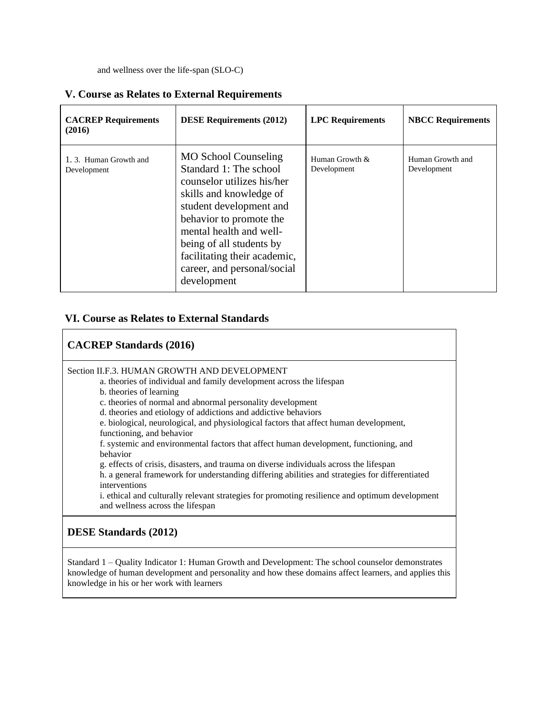and wellness over the life-span (SLO-C)

| <b>CACREP</b> Requirements<br>(2016) | <b>DESE Requirements (2012)</b>                                                                                                                                                                                                                                                                           | <b>LPC</b> Requirements       | <b>NBCC Requirements</b>        |
|--------------------------------------|-----------------------------------------------------------------------------------------------------------------------------------------------------------------------------------------------------------------------------------------------------------------------------------------------------------|-------------------------------|---------------------------------|
| 1.3. Human Growth and<br>Development | <b>MO School Counseling</b><br>Standard 1: The school<br>counselor utilizes his/her<br>skills and knowledge of<br>student development and<br>behavior to promote the<br>mental health and well-<br>being of all students by<br>facilitating their academic,<br>career, and personal/social<br>development | Human Growth &<br>Development | Human Growth and<br>Development |

## **V. Course as Relates to External Requirements**

### **VI. Course as Relates to External Standards**

### **CACREP Standards (2016)**

Section II.F.3. HUMAN GROWTH AND DEVELOPMENT

- a. theories of individual and family development across the lifespan
	- b. theories of learning
	- c. theories of normal and abnormal personality development
- d. theories and etiology of addictions and addictive behaviors
- e. biological, neurological, and physiological factors that affect human development, functioning, and behavior

f. systemic and environmental factors that affect human development, functioning, and behavior

g. effects of crisis, disasters, and trauma on diverse individuals across the lifespan

h. a general framework for understanding differing abilities and strategies for differentiated interventions

i. ethical and culturally relevant strategies for promoting resilience and optimum development and wellness across the lifespan

# **DESE Standards (2012)**

Standard 1 – Quality Indicator 1: Human Growth and Development: The school counselor demonstrates knowledge of human development and personality and how these domains affect learners, and applies this knowledge in his or her work with learners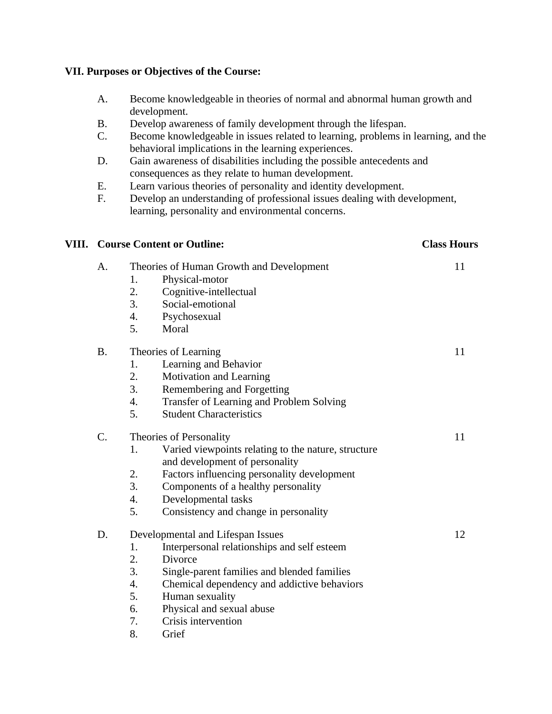## **VII. Purposes or Objectives of the Course:**

- A. Become knowledgeable in theories of normal and abnormal human growth and development.
- B. Develop awareness of family development through the lifespan.
- C. Become knowledgeable in issues related to learning, problems in learning, and the behavioral implications in the learning experiences.
- D. Gain awareness of disabilities including the possible antecedents and consequences as they relate to human development.
- E. Learn various theories of personality and identity development.
- F. Develop an understanding of professional issues dealing with development, learning, personality and environmental concerns.

| VIII. |                 | <b>Course Content or Outline:</b>                                                           | <b>Class Hours</b> |
|-------|-----------------|---------------------------------------------------------------------------------------------|--------------------|
|       | A.              | Theories of Human Growth and Development                                                    | 11                 |
|       |                 | Physical-motor<br>1.                                                                        |                    |
|       |                 | 2.<br>Cognitive-intellectual                                                                |                    |
|       |                 | 3.<br>Social-emotional                                                                      |                    |
|       |                 | 4.<br>Psychosexual                                                                          |                    |
|       |                 | 5.<br>Moral                                                                                 |                    |
|       | <b>B.</b>       | Theories of Learning                                                                        | 11                 |
|       |                 | Learning and Behavior<br>1.                                                                 |                    |
|       |                 | 2.<br>Motivation and Learning                                                               |                    |
|       |                 | 3.<br>Remembering and Forgetting                                                            |                    |
|       |                 | 4.<br>Transfer of Learning and Problem Solving                                              |                    |
|       |                 | 5.<br><b>Student Characteristics</b>                                                        |                    |
|       | $\mathcal{C}$ . | Theories of Personality                                                                     | 11                 |
|       |                 | Varied viewpoints relating to the nature, structure<br>1.<br>and development of personality |                    |
|       |                 | 2.<br>Factors influencing personality development                                           |                    |
|       |                 | 3.<br>Components of a healthy personality                                                   |                    |
|       |                 | Developmental tasks<br>4.                                                                   |                    |
|       |                 | 5.<br>Consistency and change in personality                                                 |                    |
|       | D.              | Developmental and Lifespan Issues                                                           | 12                 |
|       |                 | Interpersonal relationships and self esteem<br>1.                                           |                    |
|       |                 | 2.<br>Divorce                                                                               |                    |
|       |                 | 3.<br>Single-parent families and blended families                                           |                    |
|       |                 | 4.<br>Chemical dependency and addictive behaviors                                           |                    |
|       |                 | 5.<br>Human sexuality                                                                       |                    |
|       |                 | Physical and sexual abuse<br>6.                                                             |                    |
|       |                 | 7.<br>Crisis intervention                                                                   |                    |
|       |                 | 8.<br>Grief                                                                                 |                    |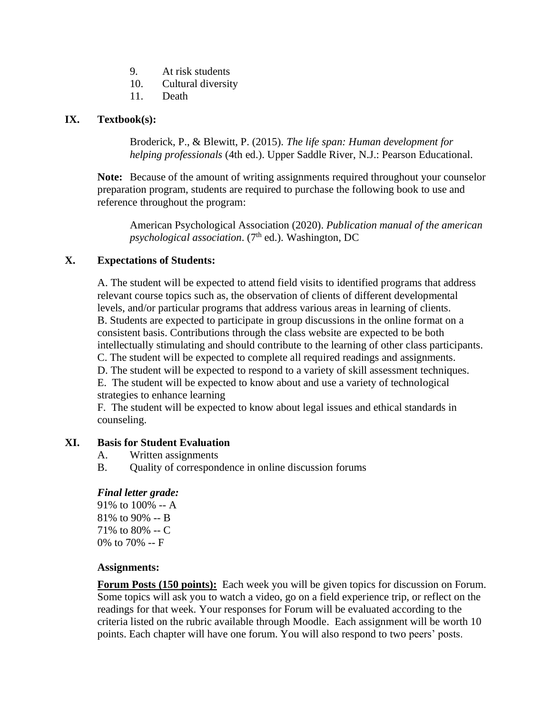- 9. At risk students
- 10. Cultural diversity
- 11. Death

## **IX. Textbook(s):**

Broderick, P., & Blewitt, P. (2015). *The life span: Human development for helping professionals* (4th ed.). Upper Saddle River, N.J.: Pearson Educational.

**Note:** Because of the amount of writing assignments required throughout your counselor preparation program, students are required to purchase the following book to use and reference throughout the program:

American Psychological Association (2020). *Publication manual of the american*  psychological association. (7<sup>th</sup> ed.). Washington, DC

# **X. Expectations of Students:**

A. The student will be expected to attend field visits to identified programs that address relevant course topics such as, the observation of clients of different developmental levels, and/or particular programs that address various areas in learning of clients. B. Students are expected to participate in group discussions in the online format on a consistent basis. Contributions through the class website are expected to be both intellectually stimulating and should contribute to the learning of other class participants. C. The student will be expected to complete all required readings and assignments. D. The student will be expected to respond to a variety of skill assessment techniques. E. The student will be expected to know about and use a variety of technological strategies to enhance learning

F. The student will be expected to know about legal issues and ethical standards in counseling.

### **XI. Basis for Student Evaluation**

- A. Written assignments
- B. Quality of correspondence in online discussion forums

### *Final letter grade:*

91% to 100% -- A 81% to 90% -- B 71% to 80% -- C 0% to 70% -- F

### **Assignments:**

**Forum Posts (150 points):** Each week you will be given topics for discussion on Forum. Some topics will ask you to watch a video, go on a field experience trip, or reflect on the readings for that week. Your responses for Forum will be evaluated according to the criteria listed on the rubric available through Moodle. Each assignment will be worth 10 points. Each chapter will have one forum. You will also respond to two peers' posts.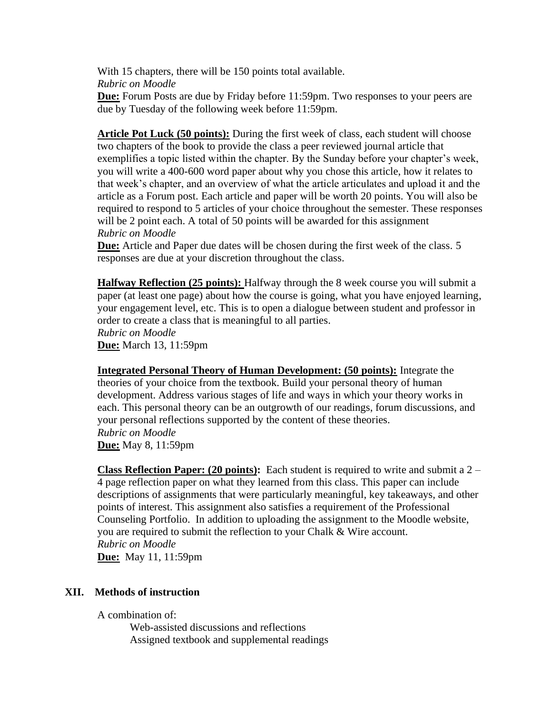With 15 chapters, there will be 150 points total available. *Rubric on Moodle*

**Due:** Forum Posts are due by Friday before 11:59pm. Two responses to your peers are due by Tuesday of the following week before 11:59pm.

**Article Pot Luck (50 points):** During the first week of class, each student will choose two chapters of the book to provide the class a peer reviewed journal article that exemplifies a topic listed within the chapter. By the Sunday before your chapter's week, you will write a 400-600 word paper about why you chose this article, how it relates to that week's chapter, and an overview of what the article articulates and upload it and the article as a Forum post. Each article and paper will be worth 20 points. You will also be required to respond to 5 articles of your choice throughout the semester. These responses will be 2 point each. A total of 50 points will be awarded for this assignment *Rubric on Moodle*

**Due:** Article and Paper due dates will be chosen during the first week of the class. 5 responses are due at your discretion throughout the class.

**Halfway Reflection (25 points):** Halfway through the 8 week course you will submit a paper (at least one page) about how the course is going, what you have enjoyed learning, your engagement level, etc. This is to open a dialogue between student and professor in order to create a class that is meaningful to all parties. *Rubric on Moodle* **Due:** March 13, 11:59pm

**Integrated Personal Theory of Human Development: (50 points):** Integrate the theories of your choice from the textbook. Build your personal theory of human development. Address various stages of life and ways in which your theory works in each. This personal theory can be an outgrowth of our readings, forum discussions, and your personal reflections supported by the content of these theories. *Rubric on Moodle* **Due:** May 8, 11:59pm

**Class Reflection Paper: (20 points):** Each student is required to write and submit a 2 – 4 page reflection paper on what they learned from this class. This paper can include descriptions of assignments that were particularly meaningful, key takeaways, and other points of interest. This assignment also satisfies a requirement of the Professional Counseling Portfolio. In addition to uploading the assignment to the Moodle website, you are required to submit the reflection to your Chalk & Wire account. *Rubric on Moodle*

**Due:** May 11, 11:59pm

### **XII. Methods of instruction**

A combination of:

Web-assisted discussions and reflections Assigned textbook and supplemental readings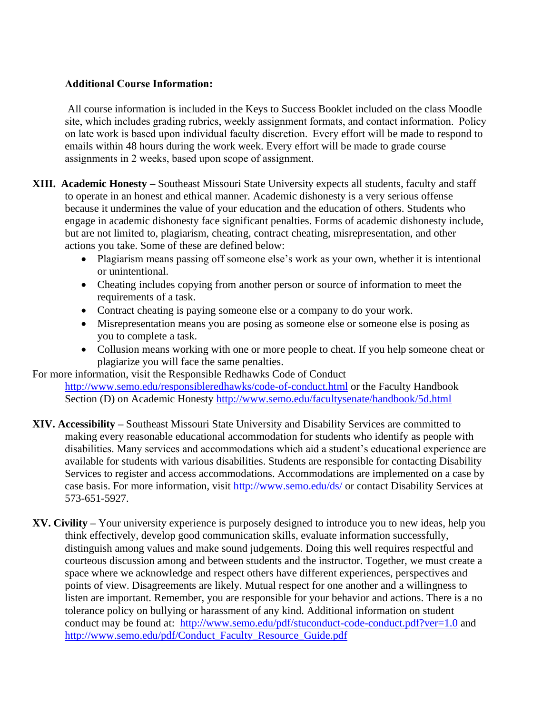## **Additional Course Information:**

All course information is included in the Keys to Success Booklet included on the class Moodle site, which includes grading rubrics, weekly assignment formats, and contact information.  Policy on late work is based upon individual faculty discretion.  Every effort will be made to respond to emails within 48 hours during the work week. Every effort will be made to grade course assignments in 2 weeks, based upon scope of assignment. 

- **XIII. Academic Honesty –** Southeast Missouri State University expects all students, faculty and staff to operate in an honest and ethical manner. Academic dishonesty is a very serious offense because it undermines the value of your education and the education of others. Students who engage in academic dishonesty face significant penalties. Forms of academic dishonesty include, but are not limited to, plagiarism, cheating, contract cheating, misrepresentation, and other actions you take. Some of these are defined below:
	- Plagiarism means passing off someone else's work as your own, whether it is intentional or unintentional.
	- Cheating includes copying from another person or source of information to meet the requirements of a task.
	- Contract cheating is paying someone else or a company to do your work.
	- Misrepresentation means you are posing as someone else or someone else is posing as you to complete a task.
	- Collusion means working with one or more people to cheat. If you help someone cheat or plagiarize you will face the same penalties.

For more information, visit the Responsible Redhawks Code of Conduct

<http://www.semo.edu/responsibleredhawks/code-of-conduct.html> or the Faculty Handbook Section (D) on Academic Honesty<http://www.semo.edu/facultysenate/handbook/5d.html>

- **XIV. Accessibility –** Southeast Missouri State University and Disability Services are committed to making every reasonable educational accommodation for students who identify as people with disabilities. Many services and accommodations which aid a student's educational experience are available for students with various disabilities. Students are responsible for contacting Disability Services to register and access accommodations. Accommodations are implemented on a case by case basis. For more information, visit<http://www.semo.edu/ds/> or contact Disability Services at 573-651-5927.
- **XV. Civility –** Your university experience is purposely designed to introduce you to new ideas, help you think effectively, develop good communication skills, evaluate information successfully, distinguish among values and make sound judgements. Doing this well requires respectful and courteous discussion among and between students and the instructor. Together, we must create a space where we acknowledge and respect others have different experiences, perspectives and points of view. Disagreements are likely. Mutual respect for one another and a willingness to listen are important. Remember, you are responsible for your behavior and actions. There is a no tolerance policy on bullying or harassment of any kind. Additional information on student conduct may be found at: <http://www.semo.edu/pdf/stuconduct-code-conduct.pdf?ver=1.0> and [http://www.semo.edu/pdf/Conduct\\_Faculty\\_Resource\\_Guide.pdf](http://www.semo.edu/pdf/Conduct_Faculty_Resource_Guide.pdf)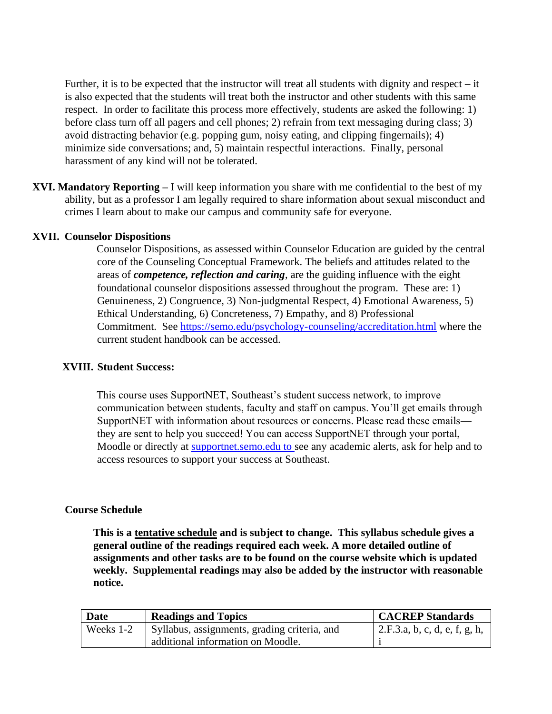Further, it is to be expected that the instructor will treat all students with dignity and respect – it is also expected that the students will treat both the instructor and other students with this same respect. In order to facilitate this process more effectively, students are asked the following: 1) before class turn off all pagers and cell phones; 2) refrain from text messaging during class; 3) avoid distracting behavior (e.g. popping gum, noisy eating, and clipping fingernails); 4) minimize side conversations; and, 5) maintain respectful interactions. Finally, personal harassment of any kind will not be tolerated.

**XVI. Mandatory Reporting –** I will keep information you share with me confidential to the best of my ability, but as a professor I am legally required to share information about sexual misconduct and crimes I learn about to make our campus and community safe for everyone.

### **XVII. Counselor Dispositions**

Counselor Dispositions, as assessed within Counselor Education are guided by the central core of the Counseling Conceptual Framework. The beliefs and attitudes related to the areas of *competence, reflection and caring*, are the guiding influence with the eight foundational counselor dispositions assessed throughout the program. These are: 1) Genuineness, 2) Congruence, 3) Non-judgmental Respect, 4) Emotional Awareness, 5) Ethical Understanding, 6) Concreteness, 7) Empathy, and 8) Professional Commitment. See<https://semo.edu/psychology-counseling/accreditation.html> where the current student handbook can be accessed.

### **XVIII. Student Success:**

This course uses SupportNET, Southeast's student success network, to improve communication between students, faculty and staff on campus. You'll get emails through SupportNET with information about resources or concerns. Please read these emails they are sent to help you succeed! You can access SupportNET through your portal, Moodle or directly at supportnet.semo.edu to see any academic alerts, ask for help and to access resources to support your success at Southeast.

### **Course Schedule**

**This is a tentative schedule and is subject to change. This syllabus schedule gives a general outline of the readings required each week. A more detailed outline of assignments and other tasks are to be found on the course website which is updated weekly. Supplemental readings may also be added by the instructor with reasonable notice.**

| Date      | <b>Readings and Topics</b>                   | <b>CACREP Standards</b>       |
|-----------|----------------------------------------------|-------------------------------|
| Weeks 1-2 | Syllabus, assignments, grading criteria, and | 2.F.3.a, b, c, d, e, f, g, h, |
|           | additional information on Moodle.            |                               |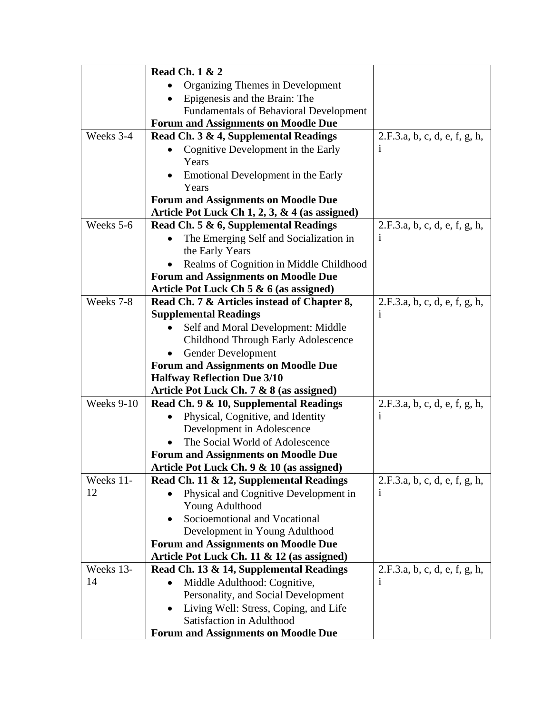|            | <b>Read Ch. 1 &amp; 2</b>                      |                               |
|------------|------------------------------------------------|-------------------------------|
|            | Organizing Themes in Development               |                               |
|            | Epigenesis and the Brain: The                  |                               |
|            | <b>Fundamentals of Behavioral Development</b>  |                               |
|            | <b>Forum and Assignments on Moodle Due</b>     |                               |
| Weeks 3-4  | Read Ch. 3 & 4, Supplemental Readings          | 2.F.3.a, b, c, d, e, f, g, h, |
|            | Cognitive Development in the Early             | $\bf{1}$                      |
|            | Years                                          |                               |
|            | Emotional Development in the Early             |                               |
|            | Years                                          |                               |
|            | <b>Forum and Assignments on Moodle Due</b>     |                               |
|            | Article Pot Luck Ch 1, 2, 3, & 4 (as assigned) |                               |
| Weeks 5-6  | Read Ch. 5 & 6, Supplemental Readings          | 2.F.3.a, b, c, d, e, f, g, h, |
|            | The Emerging Self and Socialization in         | $\mathbf{i}$                  |
|            | the Early Years                                |                               |
|            | Realms of Cognition in Middle Childhood        |                               |
|            | <b>Forum and Assignments on Moodle Due</b>     |                               |
|            | Article Pot Luck Ch 5 & 6 (as assigned)        |                               |
| Weeks 7-8  | Read Ch. 7 & Articles instead of Chapter 8,    | 2.F.3.a, b, c, d, e, f, g, h, |
|            | <b>Supplemental Readings</b>                   | $\mathbf{i}$                  |
|            | Self and Moral Development: Middle             |                               |
|            | Childhood Through Early Adolescence            |                               |
|            | Gender Development                             |                               |
|            | <b>Forum and Assignments on Moodle Due</b>     |                               |
|            | <b>Halfway Reflection Due 3/10</b>             |                               |
|            | Article Pot Luck Ch. 7 & 8 (as assigned)       |                               |
| Weeks 9-10 | Read Ch. 9 & 10, Supplemental Readings         | 2.F.3.a, b, c, d, e, f, g, h, |
|            | Physical, Cognitive, and Identity              | $\mathbf{1}$                  |
|            | Development in Adolescence                     |                               |
|            | The Social World of Adolescence                |                               |
|            | <b>Forum and Assignments on Moodle Due</b>     |                               |
|            | Article Pot Luck Ch. 9 & 10 (as assigned)      |                               |
| Weeks 11-  | Read Ch. 11 & 12, Supplemental Readings        | 2.F.3.a, b, c, d, e, f, g, h, |
| 12         | Physical and Cognitive Development in          | $\mathbf{i}$                  |
|            | Young Adulthood                                |                               |
|            | Socioemotional and Vocational                  |                               |
|            | Development in Young Adulthood                 |                               |
|            | <b>Forum and Assignments on Moodle Due</b>     |                               |
|            | Article Pot Luck Ch. 11 & 12 (as assigned)     |                               |
| Weeks 13-  | Read Ch. 13 & 14, Supplemental Readings        | 2.F.3.a, b, c, d, e, f, g, h, |
| 14         | Middle Adulthood: Cognitive,                   | i                             |
|            | Personality, and Social Development            |                               |
|            | Living Well: Stress, Coping, and Life          |                               |
|            | Satisfaction in Adulthood                      |                               |
|            | <b>Forum and Assignments on Moodle Due</b>     |                               |